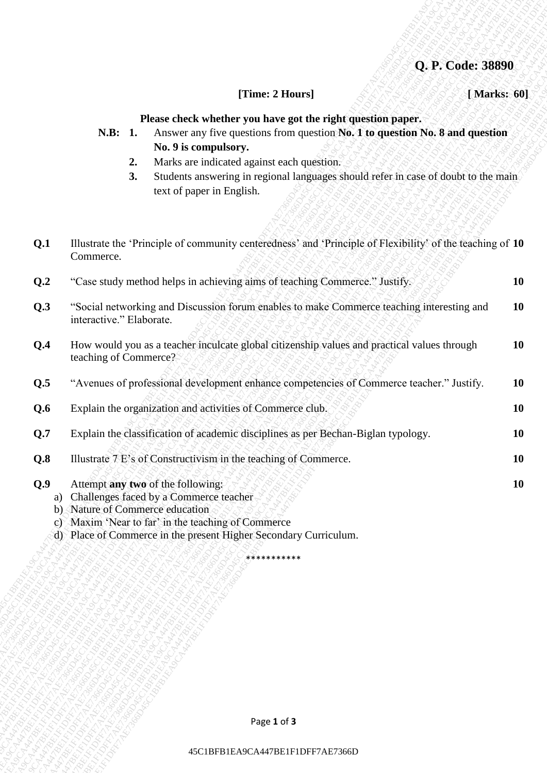## **Q. P. Code: 38890**

#### **[Time: 2 Hours] [ Marks: 60]**

#### **Please check whether you have got the right question paper.**

- **N.B: 1.** Answer any five questions from question **No. 1 to question No. 8 and question No. 9 is compulsory.**
	- **2.** Marks are indicated against each question.
	- **3.** Students answering in regional languages should refer in case of doubt to the main text of paper in English.

|     |                                 | Q. P. Code: 38890                                                                                                                                                                                                                                                                                                                    |             |
|-----|---------------------------------|--------------------------------------------------------------------------------------------------------------------------------------------------------------------------------------------------------------------------------------------------------------------------------------------------------------------------------------|-------------|
|     |                                 | [Time: 2 Hours]                                                                                                                                                                                                                                                                                                                      | [Marks: 60] |
|     | N.B: 1.<br>2.<br>3.             | Please check whether you have got the right question paper.<br>Answer any five questions from question No. 1 to question No. 8 and question<br>No. 9 is compulsory.<br>Marks are indicated against each question.<br>Students answering in regional languages should refer in case of doubt to the main<br>text of paper in English. |             |
| Q.1 | Commerce.                       | Illustrate the 'Principle of community centeredness' and 'Principle of Flexibility' of the teaching of 10                                                                                                                                                                                                                            |             |
| Q.2 |                                 | "Case study method helps in achieving aims of teaching Commerce." Justify.                                                                                                                                                                                                                                                           | <b>10</b>   |
| Q.3 | interactive." Elaborate.        | "Social networking and Discussion forum enables to make Commerce teaching interesting and                                                                                                                                                                                                                                            | <b>10</b>   |
| Q.4 | teaching of Commerce?           | How would you as a teacher inculcate global citizenship values and practical values through                                                                                                                                                                                                                                          | <b>10</b>   |
| Q.5 |                                 | "Avenues of professional development enhance competencies of Commerce teacher." Justify.                                                                                                                                                                                                                                             | <b>10</b>   |
| Q.6 |                                 | Explain the organization and activities of Commerce club.                                                                                                                                                                                                                                                                            | <b>10</b>   |
| Q.7 |                                 | Explain the classification of academic disciplines as per Bechan-Biglan typology.                                                                                                                                                                                                                                                    | <b>10</b>   |
| Q.8 |                                 | Illustrate 7 E's of Constructivism in the teaching of Commerce.                                                                                                                                                                                                                                                                      | <b>10</b>   |
| Q.9 | b) Nature of Commerce education | Attempt any two of the following:<br>a) Challenges faced by a Commerce teacher<br>c) Maxim 'Near to far' in the teaching of Commerce<br>d) Place of Commerce in the present Higher Secondary Curriculum.                                                                                                                             | <b>10</b>   |
|     |                                 | ***********                                                                                                                                                                                                                                                                                                                          |             |
|     |                                 |                                                                                                                                                                                                                                                                                                                                      |             |
|     |                                 |                                                                                                                                                                                                                                                                                                                                      |             |
|     |                                 | Page 1 of 3                                                                                                                                                                                                                                                                                                                          |             |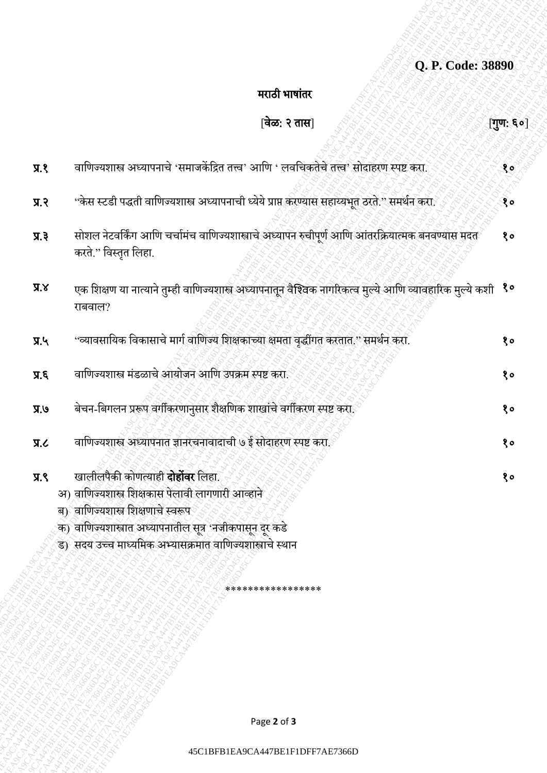| Q. P. Code: 38890 |  |  |
|-------------------|--|--|
|                   |  |  |

## मराठी भाषाांतर

|                                 | Q. P. Code: 38890                                                                                                                                                                                                                                            |              |
|---------------------------------|--------------------------------------------------------------------------------------------------------------------------------------------------------------------------------------------------------------------------------------------------------------|--------------|
|                                 | मराठी भाषांतर                                                                                                                                                                                                                                                |              |
|                                 | [वेळ: २ तास]                                                                                                                                                                                                                                                 | [गुण: ६०]    |
| 9.8                             | वाणिज्यशास्त्र अध्यापनाचे 'समाजकेंद्रित तत्त्व' आणि ' लवचिकतेचे तत्त्व' सोदाहरण स्पष्ट करा.                                                                                                                                                                  | $30^{\circ}$ |
| 5.7                             | ''केस स्टडी पद्धती वाणिज्यशास्त्र अध्यापनाची ध्येये प्राप्त करण्यास सहाय्यभूत ठरते.'' समर्थन करा.                                                                                                                                                            | १०           |
| $\overline{y}$ . $\overline{z}$ | सोशल नेटवर्किंग आणि चर्चामंच वाणिज्यशास्त्राचे अध्यापन रुचीपूर्ण आणि आंतरक्रियात्मक बनवण्यास मदत<br>करते." विस्तृत लिहा.                                                                                                                                     | 80           |
| X, X                            | एक शिक्षण या नात्याने तुम्ही वाणिज्यशास्त्र अध्यापनातून वैश्विक नागरिकत्व मुल्ये आणि व्यावहारिक मुल्ये कशी <sup>१०</sup><br>राबवाल?                                                                                                                          |              |
| $\Pi$ .                         | ''व्यावसायिक विकासाचे मार्ग वाणिज्य शिक्षकाच्या क्षमता वृद्धींगत करतात.'' समर्थन करा.                                                                                                                                                                        | 80           |
| 5.5                             | वाणिज्यशास्त्र मंडळाचे आयोजन आणि उपक्रम स्पष्ट करा.                                                                                                                                                                                                          | १०           |
| 9R                              | बेचन-बिगलन प्ररूप वर्गीकरणानुसार शैक्षणिक शाखांचे वर्गीकरण स्पष्ट करा                                                                                                                                                                                        | १०           |
| J.R                             | वाणिज्यशास्त्र अध्यापनात ज्ञानरचनावादाची ७ ई सोदाहरण स्पष्ट करा.                                                                                                                                                                                             | १०           |
| 9.8                             | खालीलपैकी कोणत्याही <b>दोहोंवर</b> लिहा.<br>अ) वाणिज्यशास्त्र शिक्षकास पेलावी लागणारी आव्हाने<br>ब) वाणिज्यशास्त्र शिक्षणाचे स्वरूप<br>क) वाणिज्यशास्त्रात अध्यापनातील सूत्र 'नजीकपासून दूर कडे<br>ड) सदय उच्च माध्यमिक अभ्यासक्रमात वाणिज्यशास्त्राचे स्थान | १०           |
|                                 | ****************                                                                                                                                                                                                                                             |              |
|                                 |                                                                                                                                                                                                                                                              |              |
|                                 | Page 2 of 3                                                                                                                                                                                                                                                  |              |
|                                 |                                                                                                                                                                                                                                                              |              |